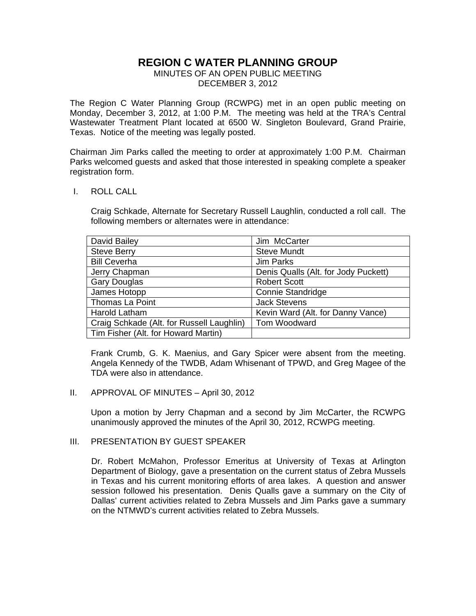# **REGION C WATER PLANNING GROUP**

MINUTES OF AN OPEN PUBLIC MEETING DECEMBER 3, 2012

The Region C Water Planning Group (RCWPG) met in an open public meeting on Monday, December 3, 2012, at 1:00 P.M. The meeting was held at the TRA's Central Wastewater Treatment Plant located at 6500 W. Singleton Boulevard, Grand Prairie, Texas. Notice of the meeting was legally posted.

Chairman Jim Parks called the meeting to order at approximately 1:00 P.M. Chairman Parks welcomed guests and asked that those interested in speaking complete a speaker registration form.

#### I. ROLL CALL

Craig Schkade, Alternate for Secretary Russell Laughlin, conducted a roll call. The following members or alternates were in attendance:

| David Bailey                              | Jim McCarter                         |
|-------------------------------------------|--------------------------------------|
| <b>Steve Berry</b>                        | <b>Steve Mundt</b>                   |
| <b>Bill Ceverha</b>                       | Jim Parks                            |
| Jerry Chapman                             | Denis Qualls (Alt. for Jody Puckett) |
| <b>Gary Douglas</b>                       | <b>Robert Scott</b>                  |
| James Hotopp                              | <b>Connie Standridge</b>             |
| <b>Thomas La Point</b>                    | <b>Jack Stevens</b>                  |
| <b>Harold Latham</b>                      | Kevin Ward (Alt. for Danny Vance)    |
| Craig Schkade (Alt. for Russell Laughlin) | Tom Woodward                         |
| Tim Fisher (Alt. for Howard Martin)       |                                      |

 Frank Crumb, G. K. Maenius, and Gary Spicer were absent from the meeting. Angela Kennedy of the TWDB, Adam Whisenant of TPWD, and Greg Magee of the TDA were also in attendance.

#### II. APPROVAL OF MINUTES – April 30, 2012

Upon a motion by Jerry Chapman and a second by Jim McCarter, the RCWPG unanimously approved the minutes of the April 30, 2012, RCWPG meeting.

# III. PRESENTATION BY GUEST SPEAKER

Dr. Robert McMahon, Professor Emeritus at University of Texas at Arlington Department of Biology, gave a presentation on the current status of Zebra Mussels in Texas and his current monitoring efforts of area lakes. A question and answer session followed his presentation. Denis Qualls gave a summary on the City of Dallas' current activities related to Zebra Mussels and Jim Parks gave a summary on the NTMWD's current activities related to Zebra Mussels.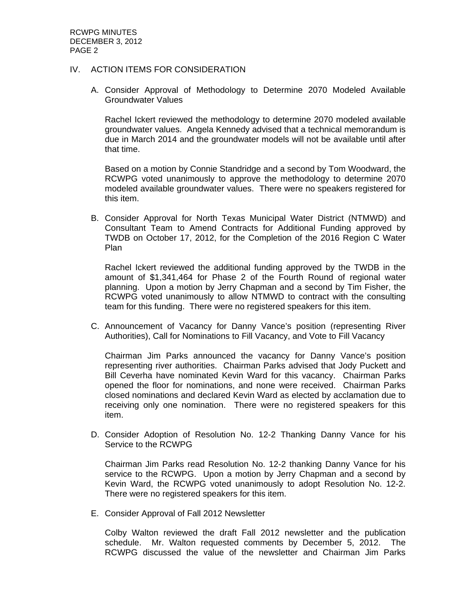### IV. ACTION ITEMS FOR CONSIDERATION

A. Consider Approval of Methodology to Determine 2070 Modeled Available Groundwater Values

Rachel Ickert reviewed the methodology to determine 2070 modeled available groundwater values. Angela Kennedy advised that a technical memorandum is due in March 2014 and the groundwater models will not be available until after that time.

Based on a motion by Connie Standridge and a second by Tom Woodward, the RCWPG voted unanimously to approve the methodology to determine 2070 modeled available groundwater values. There were no speakers registered for this item.

B. Consider Approval for North Texas Municipal Water District (NTMWD) and Consultant Team to Amend Contracts for Additional Funding approved by TWDB on October 17, 2012, for the Completion of the 2016 Region C Water Plan

Rachel Ickert reviewed the additional funding approved by the TWDB in the amount of \$1,341,464 for Phase 2 of the Fourth Round of regional water planning. Upon a motion by Jerry Chapman and a second by Tim Fisher, the RCWPG voted unanimously to allow NTMWD to contract with the consulting team for this funding. There were no registered speakers for this item.

C. Announcement of Vacancy for Danny Vance's position (representing River Authorities), Call for Nominations to Fill Vacancy, and Vote to Fill Vacancy

Chairman Jim Parks announced the vacancy for Danny Vance's position representing river authorities. Chairman Parks advised that Jody Puckett and Bill Ceverha have nominated Kevin Ward for this vacancy. Chairman Parks opened the floor for nominations, and none were received. Chairman Parks closed nominations and declared Kevin Ward as elected by acclamation due to receiving only one nomination. There were no registered speakers for this item.

D. Consider Adoption of Resolution No. 12-2 Thanking Danny Vance for his Service to the RCWPG

Chairman Jim Parks read Resolution No. 12-2 thanking Danny Vance for his service to the RCWPG. Upon a motion by Jerry Chapman and a second by Kevin Ward, the RCWPG voted unanimously to adopt Resolution No. 12-2. There were no registered speakers for this item.

E. Consider Approval of Fall 2012 Newsletter

Colby Walton reviewed the draft Fall 2012 newsletter and the publication schedule. Mr. Walton requested comments by December 5, 2012. The RCWPG discussed the value of the newsletter and Chairman Jim Parks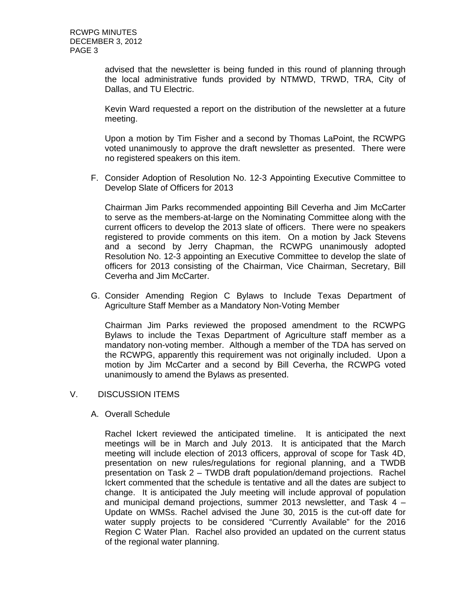advised that the newsletter is being funded in this round of planning through the local administrative funds provided by NTMWD, TRWD, TRA, City of Dallas, and TU Electric.

Kevin Ward requested a report on the distribution of the newsletter at a future meeting.

Upon a motion by Tim Fisher and a second by Thomas LaPoint, the RCWPG voted unanimously to approve the draft newsletter as presented. There were no registered speakers on this item.

F. Consider Adoption of Resolution No. 12-3 Appointing Executive Committee to Develop Slate of Officers for 2013

Chairman Jim Parks recommended appointing Bill Ceverha and Jim McCarter to serve as the members-at-large on the Nominating Committee along with the current officers to develop the 2013 slate of officers. There were no speakers registered to provide comments on this item. On a motion by Jack Stevens and a second by Jerry Chapman, the RCWPG unanimously adopted Resolution No. 12-3 appointing an Executive Committee to develop the slate of officers for 2013 consisting of the Chairman, Vice Chairman, Secretary, Bill Ceverha and Jim McCarter.

G. Consider Amending Region C Bylaws to Include Texas Department of Agriculture Staff Member as a Mandatory Non-Voting Member

Chairman Jim Parks reviewed the proposed amendment to the RCWPG Bylaws to include the Texas Department of Agriculture staff member as a mandatory non-voting member. Although a member of the TDA has served on the RCWPG, apparently this requirement was not originally included. Upon a motion by Jim McCarter and a second by Bill Ceverha, the RCWPG voted unanimously to amend the Bylaws as presented.

# V. DISCUSSION ITEMS

A. Overall Schedule

Rachel Ickert reviewed the anticipated timeline. It is anticipated the next meetings will be in March and July 2013. It is anticipated that the March meeting will include election of 2013 officers, approval of scope for Task 4D, presentation on new rules/regulations for regional planning, and a TWDB presentation on Task 2 – TWDB draft population/demand projections. Rachel Ickert commented that the schedule is tentative and all the dates are subject to change. It is anticipated the July meeting will include approval of population and municipal demand projections, summer 2013 newsletter, and Task 4 – Update on WMSs. Rachel advised the June 30, 2015 is the cut-off date for water supply projects to be considered "Currently Available" for the 2016 Region C Water Plan. Rachel also provided an updated on the current status of the regional water planning.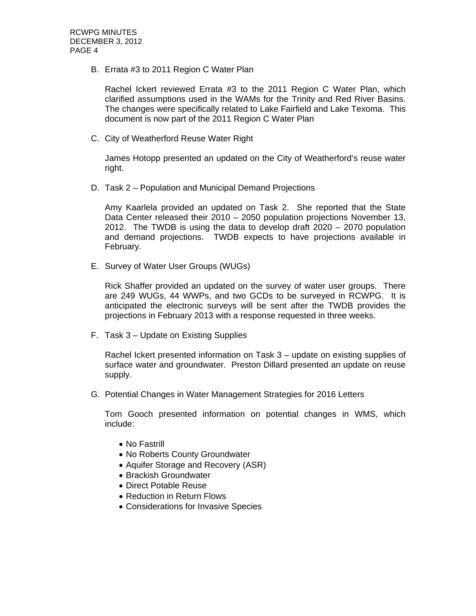B. Errata #3 to 2011 Region C Water Plan

Rachel Ickert reviewed Errata #3 to the 2011 Region C Water Plan, which clarified assumptions used in the WAMs for the Trinity and Red River Basins. The changes were specifically related to Lake Fairfield and Lake Texoma. This document is now part of the 2011 Region C Water Plan

C. City of Weatherford Reuse Water Right

James Hotopp presented an updated on the City of Weatherford's reuse water right.

D. Task 2 – Population and Municipal Demand Projections

Amy Kaarlela provided an updated on Task 2. She reported that the State Data Center released their 2010 – 2050 population projections November 13, 2012. The TWDB is using the data to develop draft 2020 – 2070 population and demand projections. TWDB expects to have projections available in February.

E. Survey of Water User Groups (WUGs)

Rick Shaffer provided an updated on the survey of water user groups. There are 249 WUGs, 44 WWPs, and two GCDs to be surveyed in RCWPG. It is anticipated the electronic surveys will be sent after the TWDB provides the projections in February 2013 with a response requested in three weeks.

F. Task 3 – Update on Existing Supplies

Rachel Ickert presented information on Task 3 – update on existing supplies of surface water and groundwater. Preston Dillard presented an update on reuse supply.

G. Potential Changes in Water Management Strategies for 2016 Letters

Tom Gooch presented information on potential changes in WMS, which include:

- No Fastrill
- No Roberts County Groundwater
- Aquifer Storage and Recovery (ASR)
- Brackish Groundwater
- Direct Potable Reuse
- Reduction in Return Flows
- Considerations for Invasive Species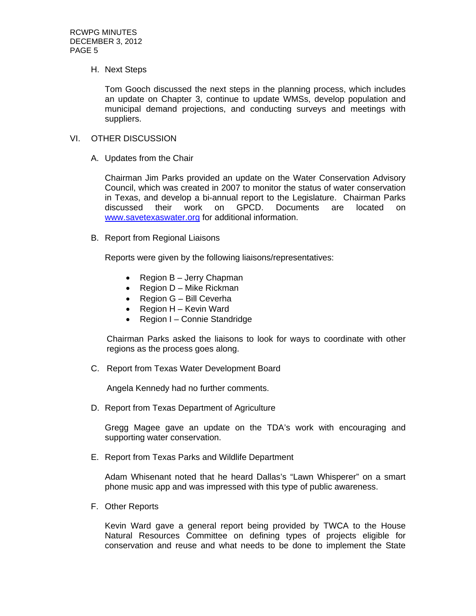#### H. Next Steps

Tom Gooch discussed the next steps in the planning process, which includes an update on Chapter 3, continue to update WMSs, develop population and municipal demand projections, and conducting surveys and meetings with suppliers.

#### VI. OTHER DISCUSSION

A. Updates from the Chair

Chairman Jim Parks provided an update on the Water Conservation Advisory Council, which was created in 2007 to monitor the status of water conservation in Texas, and develop a bi-annual report to the Legislature. Chairman Parks discussed their work on GPCD. Documents are located on www.savetexaswater.org for additional information.

B. Report from Regional Liaisons

Reports were given by the following liaisons/representatives:

- Region  $B -$  Jerry Chapman
- Region  $D -$  Mike Rickman
- Region G Bill Ceverha
- Region  $H -$  Kevin Ward
- Region I Connie Standridge

Chairman Parks asked the liaisons to look for ways to coordinate with other regions as the process goes along.

C. Report from Texas Water Development Board

Angela Kennedy had no further comments.

D. Report from Texas Department of Agriculture

Gregg Magee gave an update on the TDA's work with encouraging and supporting water conservation.

E. Report from Texas Parks and Wildlife Department

Adam Whisenant noted that he heard Dallas's "Lawn Whisperer" on a smart phone music app and was impressed with this type of public awareness.

F. Other Reports

Kevin Ward gave a general report being provided by TWCA to the House Natural Resources Committee on defining types of projects eligible for conservation and reuse and what needs to be done to implement the State